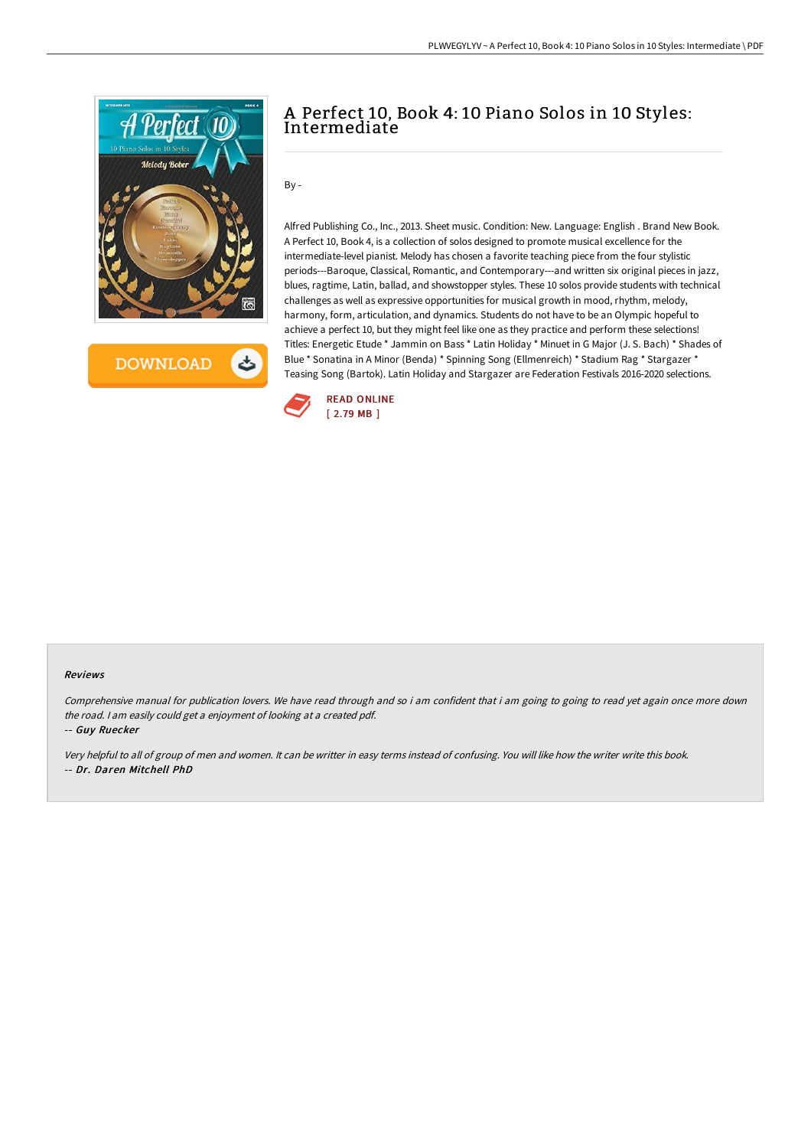

**DOWNLOAD** 

# A Perfect 10, Book 4: 10 Piano Solos in 10 Styles: Intermediate

 $By -$ 

Alfred Publishing Co., Inc., 2013. Sheet music. Condition: New. Language: English . Brand New Book. A Perfect 10, Book 4, is a collection of solos designed to promote musical excellence for the intermediate-level pianist. Melody has chosen a favorite teaching piece from the four stylistic periods---Baroque, Classical, Romantic, and Contemporary---and written six original pieces in jazz, blues, ragtime, Latin, ballad, and showstopper styles. These 10 solos provide students with technical challenges as well as expressive opportunities for musical growth in mood, rhythm, melody, harmony, form, articulation, and dynamics. Students do not have to be an Olympic hopeful to achieve a perfect 10, but they might feel like one as they practice and perform these selections! Titles: Energetic Etude \* Jammin on Bass \* Latin Holiday \* Minuet in G Major (J. S. Bach) \* Shades of Blue \* Sonatina in A Minor (Benda) \* Spinning Song (Ellmenreich) \* Stadium Rag \* Stargazer \* Teasing Song (Bartok). Latin Holiday and Stargazer are Federation Festivals 2016-2020 selections.



#### Reviews

Comprehensive manual for publication lovers. We have read through and so i am confident that i am going to going to read yet again once more down the road. <sup>I</sup> am easily could get <sup>a</sup> enjoyment of looking at <sup>a</sup> created pdf.

-- Guy Ruecker

Very helpful to all of group of men and women. It can be writter in easy terms instead of confusing. You will like how the writer write this book. -- Dr. Daren Mitchell PhD